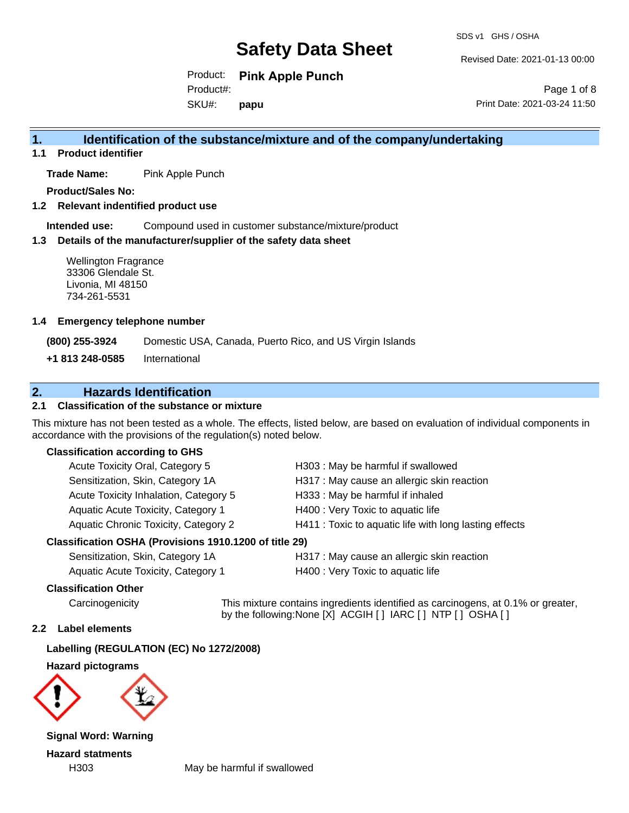Revised Date: 2021-01-13 00:00

Product: **Pink Apple Punch** SKU#: Product#: **papu**

Page 1 of 8 Print Date: 2021-03-24 11:50

### **1. Identification of the substance/mixture and of the company/undertaking**

**1.1 Product identifier**

**Trade Name:** Pink Apple Punch

**Product/Sales No:**

**1.2 Relevant indentified product use**

**Intended use:** Compound used in customer substance/mixture/product

#### **1.3 Details of the manufacturer/supplier of the safety data sheet**

Wellington Fragrance 33306 Glendale St. Livonia, MI 48150 734-261-5531

#### **1.4 Emergency telephone number**

**(800) 255-3924** Domestic USA, Canada, Puerto Rico, and US Virgin Islands

**+1 813 248-0585** International

### **2. Hazards Identification**

#### **2.1 Classification of the substance or mixture**

This mixture has not been tested as a whole. The effects, listed below, are based on evaluation of individual components in accordance with the provisions of the regulation(s) noted below.

#### **Classification according to GHS**

| Classification OSHA (Provisions 1910.1200 of title 29) |                                                        |
|--------------------------------------------------------|--------------------------------------------------------|
| <b>Aquatic Chronic Toxicity, Category 2</b>            | H411 : Toxic to aquatic life with long lasting effects |
| Aquatic Acute Toxicity, Category 1                     | H400 : Very Toxic to aquatic life                      |
| Acute Toxicity Inhalation, Category 5                  | H333: May be harmful if inhaled                        |
| Sensitization, Skin, Category 1A                       | H317 : May cause an allergic skin reaction             |
| Acute Toxicity Oral, Category 5                        | H303: May be harmful if swallowed                      |

| Sensitization, Skin, Category 1A   | H317 : May cause an allergic sk   |
|------------------------------------|-----------------------------------|
| Aquatic Acute Toxicity, Category 1 | H400 : Very Toxic to aquatic life |

#### **Classification Other**

Carcinogenicity This mixture contains ingredients identified as carcinogens, at 0.1% or greater, by the following:None [X] ACGIH [ ] IARC [ ] NTP [ ] OSHA [ ]

allergic skin reaction

#### **2.2 Label elements**

**Labelling (REGULATION (EC) No 1272/2008)**

**Hazard pictograms**



**Signal Word: Warning Hazard statments**

H303 May be harmful if swallowed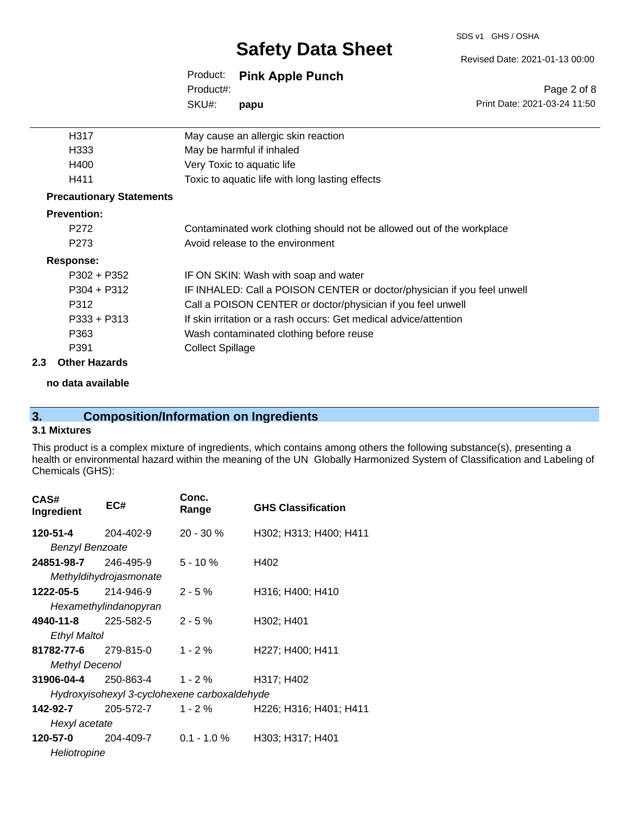#### SDS v1 GHS / OSHA

# **Safety Data Sheet**

#### Revised Date: 2021-01-13 00:00

|           | Product: Pink Apple Punch |
|-----------|---------------------------|
| Product#: |                           |
| SKU#:     | papu                      |

Page 2 of 8 Print Date: 2021-03-24 11:50

| H317                            | May cause an allergic skin reaction                                     |  |
|---------------------------------|-------------------------------------------------------------------------|--|
| H333                            | May be harmful if inhaled                                               |  |
| H400                            | Very Toxic to aquatic life                                              |  |
| H411                            | Toxic to aquatic life with long lasting effects                         |  |
| <b>Precautionary Statements</b> |                                                                         |  |
| <b>Prevention:</b>              |                                                                         |  |
| P <sub>272</sub>                | Contaminated work clothing should not be allowed out of the workplace   |  |
| P <sub>273</sub>                | Avoid release to the environment                                        |  |
| <b>Response:</b>                |                                                                         |  |
| $P302 + P352$                   | IF ON SKIN: Wash with soap and water                                    |  |
| $P304 + P312$                   | IF INHALED: Call a POISON CENTER or doctor/physician if you feel unwell |  |
| P312                            | Call a POISON CENTER or doctor/physician if you feel unwell             |  |
| $P333 + P313$                   | If skin irritation or a rash occurs: Get medical advice/attention       |  |
| P363                            | Wash contaminated clothing before reuse                                 |  |
| P391                            | <b>Collect Spillage</b>                                                 |  |
| .                               |                                                                         |  |

#### **2.3 Other Hazards**

**no data available**

## **3. Composition/Information on Ingredients**

#### **3.1 Mixtures**

This product is a complex mixture of ingredients, which contains among others the following substance(s), presenting a health or environmental hazard within the meaning of the UN Globally Harmonized System of Classification and Labeling of Chemicals (GHS):

| CAS#<br>Ingredient                           | EC#                    | Conc.<br>Range | <b>GHS Classification</b> |
|----------------------------------------------|------------------------|----------------|---------------------------|
| 120-51-4                                     | 204-402-9              | $20 - 30 \%$   | H302; H313; H400; H411    |
| <b>Benzyl Benzoate</b>                       |                        |                |                           |
| 24851-98-7                                   | 246-495-9              | $5 - 10 \%$    | H402                      |
|                                              | Methyldihydrojasmonate |                |                           |
| 1222-05-5                                    | 214-946-9              | $2 - 5%$       | H316; H400; H410          |
|                                              | Hexamethylindanopyran  |                |                           |
| <b>4940-11-8</b> 225-582-5                   |                        | $2 - 5%$       | H302; H401                |
| Ethyl Maltol                                 |                        |                |                           |
| 81782-77-6                                   | 279-815-0              | $1 - 2%$       | H227; H400; H411          |
| <b>Methyl Decenol</b>                        |                        |                |                           |
| 31906-04-4                                   | 250-863-4              | $1 - 2%$       | H317; H402                |
| Hydroxyisohexyl 3-cyclohexene carboxaldehyde |                        |                |                           |
| 142-92-7                                     | 205-572-7              | $1 - 2 \%$     | H226; H316; H401; H411    |
| Hexyl acetate                                |                        |                |                           |
| 120-57-0                                     | 204-409-7              | $0.1 - 1.0 \%$ | H303; H317; H401          |
| Heliotropine                                 |                        |                |                           |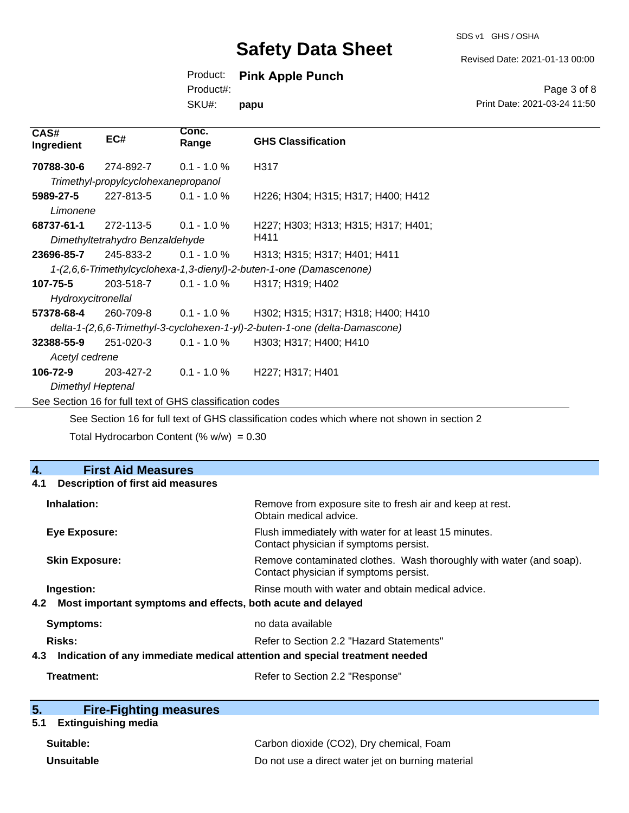Revised Date: 2021-01-13 00:00

### Product: **Pink Apple Punch**

Product#:

SKU#: **papu**

#### Page 3 of 8 Print Date: 2021-03-24 11:50

| CAS#<br>Ingredient       | EC#                                 | Conc.<br>Range                                           | <b>GHS Classification</b>                                                                   |
|--------------------------|-------------------------------------|----------------------------------------------------------|---------------------------------------------------------------------------------------------|
| 70788-30-6               | 274-892-7                           | $0.1 - 1.0 %$                                            | H317                                                                                        |
|                          | Trimethyl-propylcyclohexanepropanol |                                                          |                                                                                             |
| 5989-27-5                | 227-813-5                           | $0.1 - 1.0 \%$                                           | H226; H304; H315; H317; H400; H412                                                          |
| Limonene                 |                                     |                                                          |                                                                                             |
| 68737-61-1               | 272-113-5                           | $0.1 - 1.0 %$                                            | H227; H303; H313; H315; H317; H401;                                                         |
|                          | Dimethyltetrahydro Benzaldehyde     |                                                          | H411                                                                                        |
| 23696-85-7               | 245-833-2                           | $0.1 - 1.0 \%$                                           | H313; H315; H317; H401; H411                                                                |
|                          |                                     |                                                          | 1-(2,6,6-Trimethylcyclohexa-1,3-dienyl)-2-buten-1-one (Damascenone)                         |
| 107-75-5                 | 203-518-7                           | $0.1 - 1.0 \%$                                           | H317; H319; H402                                                                            |
| Hydroxycitronellal       |                                     |                                                          |                                                                                             |
| 57378-68-4               | 260-709-8                           | $0.1$ - 1.0 %                                            | H302; H315; H317; H318; H400; H410                                                          |
|                          |                                     |                                                          | delta-1-(2,6,6-Trimethyl-3-cyclohexen-1-yl)-2-buten-1-one (delta-Damascone)                 |
| 32388-55-9               | 251-020-3                           | $0.1 - 1.0 %$                                            | H303; H317; H400; H410                                                                      |
| Acetyl cedrene           |                                     |                                                          |                                                                                             |
| 106-72-9                 | 203-427-2                           | $0.1 - 1.0 \%$                                           | H227; H317; H401                                                                            |
| <b>Dimethyl Heptenal</b> |                                     |                                                          |                                                                                             |
|                          |                                     | See Section 16 for full text of GHS classification codes |                                                                                             |
|                          |                                     |                                                          | See Section 16 for full text of GHS classification codes which where not shown in section 2 |

Total Hydrocarbon Content  $(\% w/w) = 0.30$ 

#### **4. First Aid Measures 4.1 Description of first aid measures**

| Inhalation:                                                                       | Remove from exposure site to fresh air and keep at rest.<br>Obtain medical advice.                            |
|-----------------------------------------------------------------------------------|---------------------------------------------------------------------------------------------------------------|
| Eye Exposure:                                                                     | Flush immediately with water for at least 15 minutes.<br>Contact physician if symptoms persist.               |
| <b>Skin Exposure:</b>                                                             | Remove contaminated clothes. Wash thoroughly with water (and soap).<br>Contact physician if symptoms persist. |
| Ingestion:<br>4.2 Most important symptoms and effects, both acute and delayed     | Rinse mouth with water and obtain medical advice.                                                             |
| Symptoms:                                                                         | no data available                                                                                             |
| Risks:                                                                            | Refer to Section 2.2 "Hazard Statements"                                                                      |
| Indication of any immediate medical attention and special treatment needed<br>4.3 |                                                                                                               |
| Treatment:                                                                        | Refer to Section 2.2 "Response"                                                                               |

| 5. | <b>Fire-Fighting measures</b> |  |
|----|-------------------------------|--|
|    |                               |  |

# **5.1 Extinguishing media**

| Suitable:         | Carbon dioxide (CO2), Dry chemical, Foam          |
|-------------------|---------------------------------------------------|
| <b>Unsuitable</b> | Do not use a direct water jet on burning material |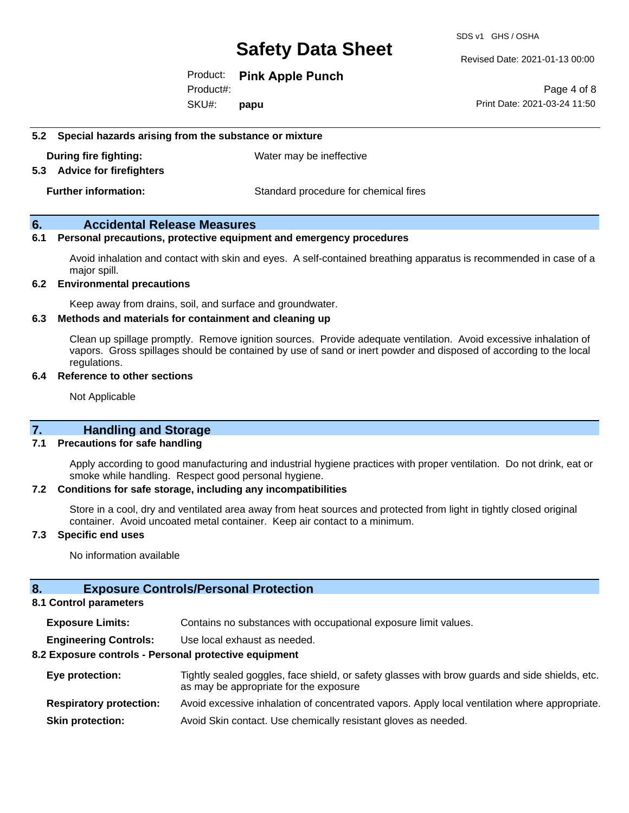SDS v1 GHS / OSHA

Revised Date: 2021-01-13 00:00

Product: **Pink Apple Punch**

SKU#: Product#: **papu**

Page 4 of 8 Print Date: 2021-03-24 11:50

**5.2 Special hazards arising from the substance or mixture**

**During fire fighting:** Water may be ineffective

**5.3 Advice for firefighters**

**Further information:** Standard procedure for chemical fires

#### **6. Accidental Release Measures**

#### **6.1 Personal precautions, protective equipment and emergency procedures**

Avoid inhalation and contact with skin and eyes. A self-contained breathing apparatus is recommended in case of a major spill.

#### **6.2 Environmental precautions**

Keep away from drains, soil, and surface and groundwater.

#### **6.3 Methods and materials for containment and cleaning up**

Clean up spillage promptly. Remove ignition sources. Provide adequate ventilation. Avoid excessive inhalation of vapors. Gross spillages should be contained by use of sand or inert powder and disposed of according to the local regulations.

#### **6.4 Reference to other sections**

Not Applicable

#### **7. Handling and Storage**

#### **7.1 Precautions for safe handling**

Apply according to good manufacturing and industrial hygiene practices with proper ventilation. Do not drink, eat or smoke while handling. Respect good personal hygiene.

#### **7.2 Conditions for safe storage, including any incompatibilities**

Store in a cool, dry and ventilated area away from heat sources and protected from light in tightly closed original container. Avoid uncoated metal container. Keep air contact to a minimum.

#### **7.3 Specific end uses**

No information available

#### **8. Exposure Controls/Personal Protection**

#### **8.1 Control parameters**

**Exposure Limits:** Contains no substances with occupational exposure limit values.

**Engineering Controls:** Use local exhaust as needed.

#### **8.2 Exposure controls - Personal protective equipment**

| Eye protection:                | Tightly sealed goggles, face shield, or safety glasses with brow guards and side shields, etc.<br>as may be appropriate for the exposure |
|--------------------------------|------------------------------------------------------------------------------------------------------------------------------------------|
| <b>Respiratory protection:</b> | Avoid excessive inhalation of concentrated vapors. Apply local ventilation where appropriate.                                            |
| <b>Skin protection:</b>        | Avoid Skin contact. Use chemically resistant gloves as needed.                                                                           |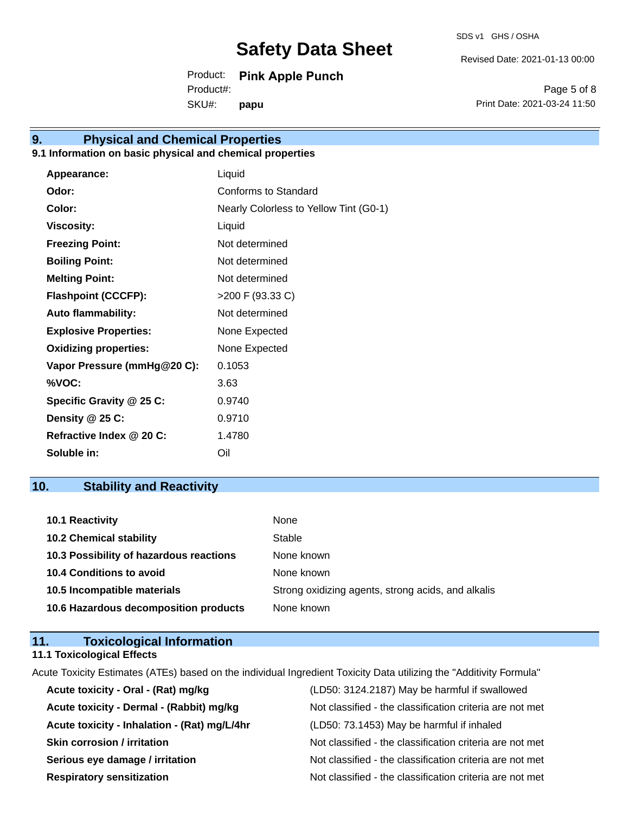Revised Date: 2021-01-13 00:00

Product: **Pink Apple Punch** SKU#: Product#: **papu**

Page 5 of 8 Print Date: 2021-03-24 11:50

# **9. Physical and Chemical Properties**

### **9.1 Information on basic physical and chemical properties**

| Appearance:                  | Liquid                                 |
|------------------------------|----------------------------------------|
| Odor:                        | Conforms to Standard                   |
| Color:                       | Nearly Colorless to Yellow Tint (G0-1) |
| <b>Viscosity:</b>            | Liquid                                 |
| <b>Freezing Point:</b>       | Not determined                         |
| <b>Boiling Point:</b>        | Not determined                         |
| <b>Melting Point:</b>        | Not determined                         |
| <b>Flashpoint (CCCFP):</b>   | >200 F (93.33 C)                       |
| <b>Auto flammability:</b>    | Not determined                         |
| <b>Explosive Properties:</b> | None Expected                          |
| <b>Oxidizing properties:</b> | None Expected                          |
| Vapor Pressure (mmHg@20 C):  | 0.1053                                 |
| %VOC:                        | 3.63                                   |
| Specific Gravity @ 25 C:     | 0.9740                                 |
| Density @ 25 C:              | 0.9710                                 |
| Refractive Index @ 20 C:     | 1.4780                                 |
| Soluble in:                  | Oil                                    |

### **10. Stability and Reactivity**

| 10.1 Reactivity                         | None                                               |
|-----------------------------------------|----------------------------------------------------|
| <b>10.2 Chemical stability</b>          | Stable                                             |
| 10.3 Possibility of hazardous reactions | None known                                         |
| <b>10.4 Conditions to avoid</b>         | None known                                         |
| 10.5 Incompatible materials             | Strong oxidizing agents, strong acids, and alkalis |
| 10.6 Hazardous decomposition products   | None known                                         |

### **11. Toxicological Information**

#### **11.1 Toxicological Effects**

Acute Toxicity Estimates (ATEs) based on the individual Ingredient Toxicity Data utilizing the "Additivity Formula" **Acute toxicity - Oral - (Rat) mg/kg** (LD50: 3124.2187) May be harmful if swallowed

| Acute toxicity - Oral - (Rat) mg/kg          | (LD50: 3124.2187) May be harmful if swallowed            |
|----------------------------------------------|----------------------------------------------------------|
| Acute toxicity - Dermal - (Rabbit) mg/kg     | Not classified - the classification criteria are not met |
| Acute toxicity - Inhalation - (Rat) mg/L/4hr | (LD50: 73.1453) May be harmful if inhaled                |
| <b>Skin corrosion / irritation</b>           | Not classified - the classification criteria are not met |
| Serious eye damage / irritation              | Not classified - the classification criteria are not met |
| <b>Respiratory sensitization</b>             | Not classified - the classification criteria are not met |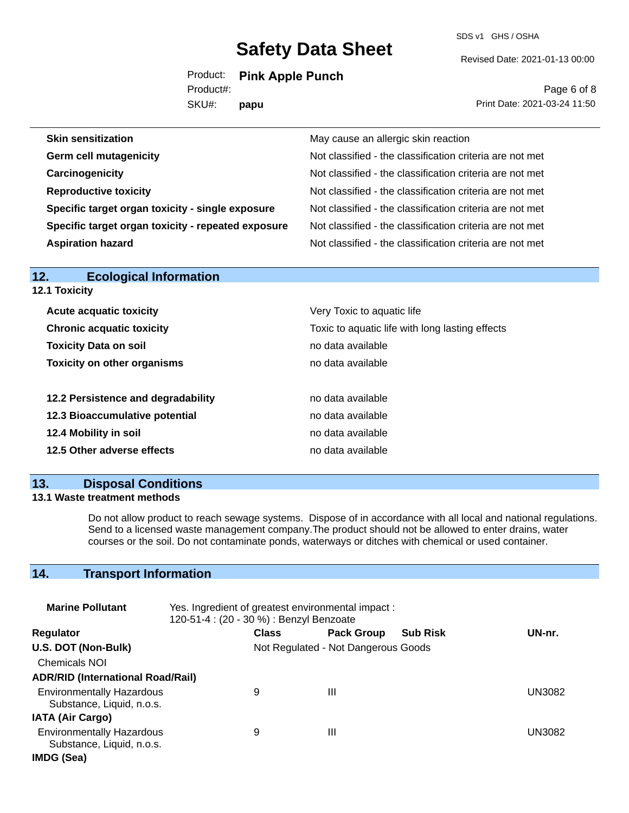SDS v1 GHS / OSHA

Revised Date: 2021-01-13 00:00

Product: **Pink Apple Punch** Product#:

SKU#: **papu**

Page 6 of 8 Print Date: 2021-03-24 11:50

| May cause an allergic skin reaction                      |
|----------------------------------------------------------|
| Not classified - the classification criteria are not met |
| Not classified - the classification criteria are not met |
| Not classified - the classification criteria are not met |
| Not classified - the classification criteria are not met |
| Not classified - the classification criteria are not met |
| Not classified - the classification criteria are not met |
|                                                          |

| <b>Ecological Information</b><br>12. |                                                 |  |  |
|--------------------------------------|-------------------------------------------------|--|--|
| 12.1 Toxicity                        |                                                 |  |  |
| <b>Acute acquatic toxicity</b>       | Very Toxic to aquatic life                      |  |  |
| <b>Chronic acquatic toxicity</b>     | Toxic to aquatic life with long lasting effects |  |  |
| <b>Toxicity Data on soil</b>         | no data available                               |  |  |
| <b>Toxicity on other organisms</b>   | no data available                               |  |  |
| 12.2 Persistence and degradability   | no data available                               |  |  |
| 12.3 Bioaccumulative potential       | no data available                               |  |  |
| 12.4 Mobility in soil                | no data available                               |  |  |
| 12.5 Other adverse effects           | no data available                               |  |  |
|                                      |                                                 |  |  |

### **13. Disposal Conditions**

#### **13.1 Waste treatment methods**

Do not allow product to reach sewage systems. Dispose of in accordance with all local and national regulations. Send to a licensed waste management company.The product should not be allowed to enter drains, water courses or the soil. Do not contaminate ponds, waterways or ditches with chemical or used container.

### **14. Transport Information**

| <b>Marine Pollutant</b>                                       | Yes. Ingredient of greatest environmental impact:<br>120-51-4 : (20 - 30 %) : Benzyl Benzoate |                                     |                   |                 |               |
|---------------------------------------------------------------|-----------------------------------------------------------------------------------------------|-------------------------------------|-------------------|-----------------|---------------|
| <b>Regulator</b>                                              |                                                                                               | <b>Class</b>                        | <b>Pack Group</b> | <b>Sub Risk</b> | UN-nr.        |
| U.S. DOT (Non-Bulk)                                           |                                                                                               | Not Regulated - Not Dangerous Goods |                   |                 |               |
| <b>Chemicals NOI</b>                                          |                                                                                               |                                     |                   |                 |               |
| <b>ADR/RID (International Road/Rail)</b>                      |                                                                                               |                                     |                   |                 |               |
| <b>Environmentally Hazardous</b><br>Substance, Liquid, n.o.s. |                                                                                               | 9                                   | Ш                 |                 | <b>UN3082</b> |
| <b>IATA (Air Cargo)</b>                                       |                                                                                               |                                     |                   |                 |               |
| <b>Environmentally Hazardous</b><br>Substance, Liquid, n.o.s. |                                                                                               | 9                                   | Ш                 |                 | UN3082        |
| IMDG (Sea)                                                    |                                                                                               |                                     |                   |                 |               |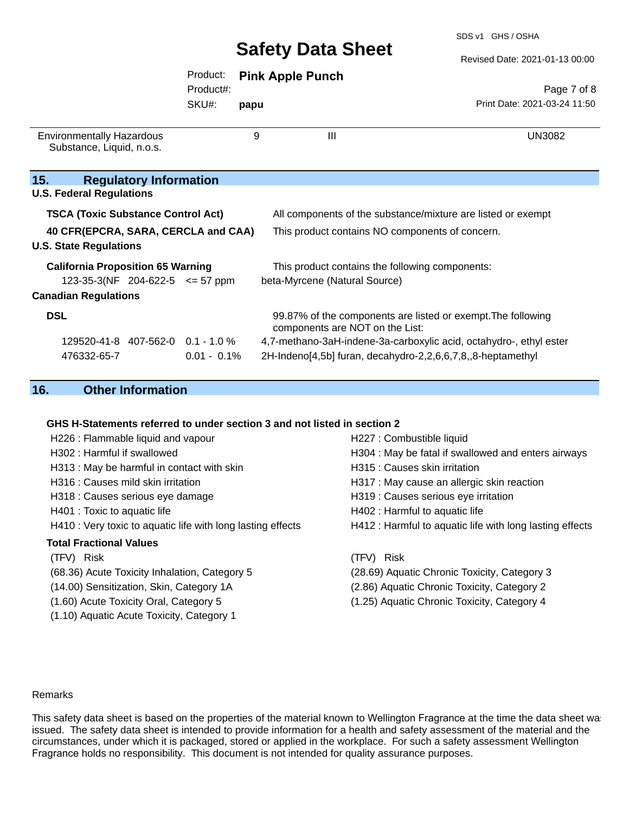SDS v1 GHS / OSHA

Revised Date: 2021-01-13 00:00

|                                                                         |                |      |                                                             | Revised Date: 2021-01-13 00:00                                     |
|-------------------------------------------------------------------------|----------------|------|-------------------------------------------------------------|--------------------------------------------------------------------|
|                                                                         | Product:       |      | <b>Pink Apple Punch</b>                                     |                                                                    |
|                                                                         | Product#:      |      |                                                             | Page 7 of 8                                                        |
|                                                                         | SKU#:          | papu |                                                             | Print Date: 2021-03-24 11:50                                       |
| <b>Environmentally Hazardous</b><br>Substance, Liquid, n.o.s.           |                | 9    | III                                                         | <b>UN3082</b>                                                      |
| 15.<br><b>Regulatory Information</b><br><b>U.S. Federal Regulations</b> |                |      |                                                             |                                                                    |
| <b>TSCA (Toxic Substance Control Act)</b>                               |                |      |                                                             | All components of the substance/mixture are listed or exempt       |
| 40 CFR(EPCRA, SARA, CERCLA and CAA)<br><b>U.S. State Regulations</b>    |                |      | This product contains NO components of concern.             |                                                                    |
| <b>California Proposition 65 Warning</b>                                |                |      | This product contains the following components:             |                                                                    |
| 123-35-3(NF 204-622-5 $\leq$ 57 ppm<br><b>Canadian Regulations</b>      |                |      | beta-Myrcene (Natural Source)                               |                                                                    |
| <b>DSL</b>                                                              |                |      | components are NOT on the List:                             | 99.87% of the components are listed or exempt. The following       |
| 129520-41-8 407-562-0 0.1 - 1.0 %                                       |                |      |                                                             | 4,7-methano-3aH-indene-3a-carboxylic acid, octahydro-, ethyl ester |
| 476332-65-7                                                             | $0.01 - 0.1\%$ |      | 2H-Indeno[4,5b] furan, decahydro-2,2,6,6,7,8,,8-heptamethyl |                                                                    |

### **16. Other Information**

#### **GHS H-Statements referred to under section 3 and not listed in section 2**

| H226 : Flammable liquid and vapour                          | H227 : Combustible liquid                                |
|-------------------------------------------------------------|----------------------------------------------------------|
| H302 : Harmful if swallowed                                 | H304 : May be fatal if swallowed and enters airways      |
| H313 : May be harmful in contact with skin                  | H315 : Causes skin irritation                            |
| H316 : Causes mild skin irritation                          | H317 : May cause an allergic skin reaction               |
| H318 : Causes serious eye damage                            | H319 : Causes serious eye irritation                     |
| H401 : Toxic to aquatic life                                | H402 : Harmful to aquatic life                           |
| H410 : Very toxic to aquatic life with long lasting effects | H412 : Harmful to aquatic life with long lasting effects |
| <b>Total Fractional Values</b>                              |                                                          |
| (TFV) Risk                                                  | (TFV) Risk                                               |
| (68.36) Acute Toxicity Inhalation, Category 5               | (28.69) Aquatic Chronic Toxicity, Category 3             |
| (14.00) Sensitization, Skin, Category 1A                    | (2.86) Aquatic Chronic Toxicity, Category 2              |
| (1.60) Acute Toxicity Oral, Category 5                      | (1.25) Aquatic Chronic Toxicity, Category 4              |
| (1.10) Aquatic Acute Toxicity, Category 1                   |                                                          |
|                                                             |                                                          |

#### Remarks

This safety data sheet is based on the properties of the material known to Wellington Fragrance at the time the data sheet was issued. The safety data sheet is intended to provide information for a health and safety assessment of the material and the circumstances, under which it is packaged, stored or applied in the workplace. For such a safety assessment Wellington Fragrance holds no responsibility. This document is not intended for quality assurance purposes.